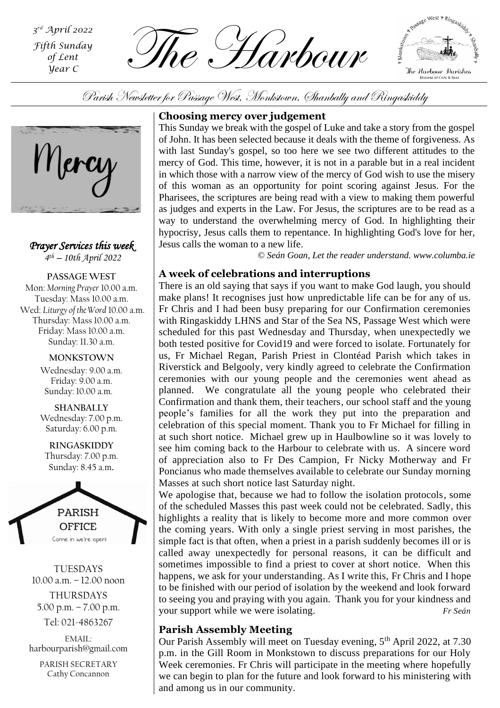*rd April 2022 Fifth Sunday of Lent Year C*

The Harbour *<sup>3</sup>*



Parish Newsletter for Passage West, Monkstown, Shanbally and Ringaskiddy



*Prayer Services this week 4 th – 10th April 2022*

**PASSAGE WEST** Mon: *Morning Prayer* 10.00 a.m. Tuesday: Mass 10.00 a.m. Wed: *Liturgy of the Word* 10.00 a.m. Thursday: Mass 10.00 a.m. Friday: Mass 10.00 a.m. Sunday: 11.30 a.m.

> **MONKSTOWN** Wednesday: 9.00 a.m. Friday: 9.00 a.m. Sunday: 10.00 a.m.

> **SHANBALLY** Wednesday: 7.00 p.m. Saturday: 6.00 p.m.

**RINGASKIDDY** Thursday: 7.00 p.m. Sunday: 8.45 a.m.



TUESDAYS 10.00 a.m. – 12.00 noon THURSDAYS 5.00 p.m. – 7.00 p.m.

Tel: 021-4863267

EMAIL: harbourparish@gmail.com

PARISH SECRETARY Cathy Concannon

# **Choosing mercy over judgement**

This Sunday we break with the gospel of Luke and take a story from the gospel of John. It has been selected because it deals with the theme of forgiveness. As with last Sunday's gospel, so too here we see two different attitudes to the mercy of God. This time, however, it is not in a parable but in a real incident in which those with a narrow view of the mercy of God wish to use the misery of this woman as an opportunity for point scoring against Jesus. For the Pharisees, the scriptures are being read with a view to making them powerful as judges and experts in the Law. For Jesus, the scriptures are to be read as a way to understand the overwhelming mercy of God. In highlighting their hypocrisy, Jesus calls them to repentance. In highlighting God's love for her, Jesus calls the woman to a new life.

*© Seán Goan, Let the reader understand. www.columba.ie*

# **A week of celebrations and interruptions**

celebration of this special moment. Thank you to Fr Michael for filling in There is an old saying that says if you want to make God laugh, you should make plans! It recognises just how unpredictable life can be for any of us. Fr Chris and I had been busy preparing for our Confirmation ceremonies with Ringaskiddy LHNS and Star of the Sea NS, Passage West which were scheduled for this past Wednesday and Thursday, when unexpectedly we both tested positive for Covid19 and were forced to isolate. Fortunately for us, Fr Michael Regan, Parish Priest in Clontéad Parish which takes in Riverstick and Belgooly, very kindly agreed to celebrate the Confirmation ceremonies with our young people and the ceremonies went ahead as planned. We congratulate all the young people who celebrated their Confirmation and thank them, their teachers, our school staff and the young people's families for all the work they put into the preparation and at such short notice. Michael grew up in Haulbowline so it was lovely to see him coming back to the Harbour to celebrate with us. A sincere word of appreciation also to Fr Des Campion, Fr Nicky Motherway and Fr Poncianus who made themselves available to celebrate our Sunday morning Masses at such short notice last Saturday night.

We apologise that, because we had to follow the isolation protocols, some of the scheduled Masses this past week could not be celebrated. Sadly, this highlights a reality that is likely to become more and more common over the coming years. With only a single priest serving in most parishes, the simple fact is that often, when a priest in a parish suddenly becomes ill or is called away unexpectedly for personal reasons, it can be difficult and sometimes impossible to find a priest to cover at short notice. When this happens, we ask for your understanding. As I write this, Fr Chris and I hope to be finished with our period of isolation by the weekend and look forward to seeing you and praying with you again. Thank you for your kindness and your support while we were isolating. *Fr Seán*

# **Parish Assembly Meeting**

Our Parish Assembly will meet on Tuesday evening, 5<sup>th</sup> April 2022, at 7.30 p.m. in the Gill Room in Monkstown to discuss preparations for our Holy Week ceremonies. Fr Chris will participate in the meeting where hopefully we can begin to plan for the future and look forward to his ministering with and among us in our community.